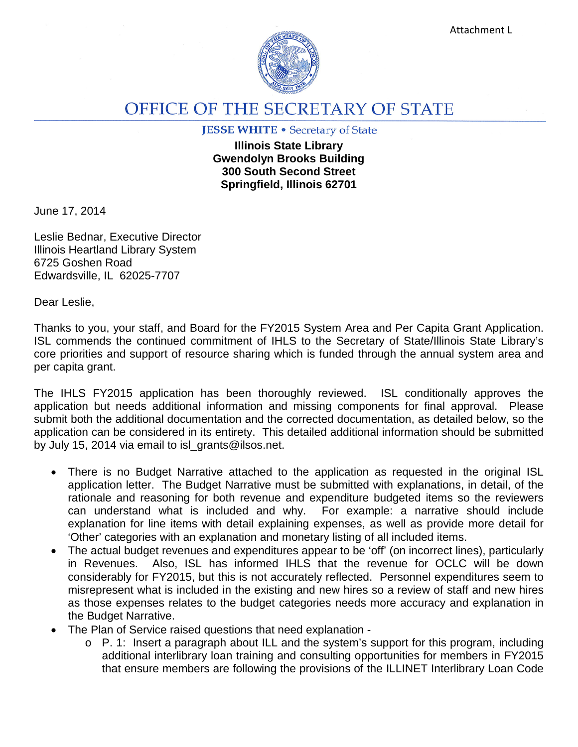

## OFFICE OF THE SECRETARY OF STATE

## **JESSE WHITE • Secretary of State**

**Illinois State Library Gwendolyn Brooks Building 300 South Second Street Springfield, Illinois 62701**

June 17, 2014

Leslie Bednar, Executive Director Illinois Heartland Library System 6725 Goshen Road Edwardsville, IL 62025-7707

Dear Leslie,

Thanks to you, your staff, and Board for the FY2015 System Area and Per Capita Grant Application. ISL commends the continued commitment of IHLS to the Secretary of State/Illinois State Library's core priorities and support of resource sharing which is funded through the annual system area and per capita grant.

The IHLS FY2015 application has been thoroughly reviewed. ISL conditionally approves the application but needs additional information and missing components for final approval. Please submit both the additional documentation and the corrected documentation, as detailed below, so the application can be considered in its entirety. This detailed additional information should be submitted by July 15, 2014 via email to isl\_grants@ilsos.net.

- There is no Budget Narrative attached to the application as requested in the original ISL application letter. The Budget Narrative must be submitted with explanations, in detail, of the rationale and reasoning for both revenue and expenditure budgeted items so the reviewers can understand what is included and why. For example: a narrative should include explanation for line items with detail explaining expenses, as well as provide more detail for 'Other' categories with an explanation and monetary listing of all included items.
- The actual budget revenues and expenditures appear to be 'off' (on incorrect lines), particularly in Revenues. Also, ISL has informed IHLS that the revenue for OCLC will be down considerably for FY2015, but this is not accurately reflected. Personnel expenditures seem to misrepresent what is included in the existing and new hires so a review of staff and new hires as those expenses relates to the budget categories needs more accuracy and explanation in the Budget Narrative.
- The Plan of Service raised questions that need explanation
	- o P. 1: Insert a paragraph about ILL and the system's support for this program, including additional interlibrary loan training and consulting opportunities for members in FY2015 that ensure members are following the provisions of the ILLINET Interlibrary Loan Code